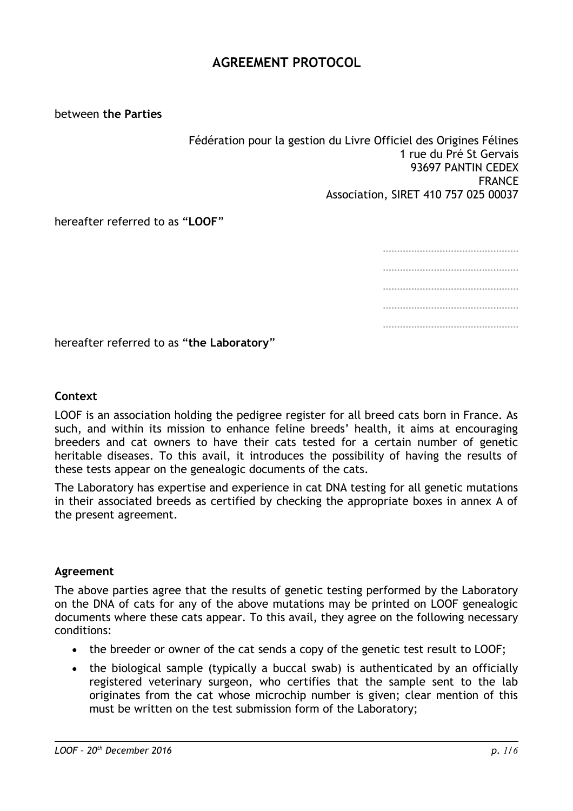## **AGREEMENT PROTOCOL**

between **the Parties**

Fédération pour la gestion du Livre Officiel des Origines Félines 1 rue du Pré St Gervais 93697 PANTIN CEDEX FRANCE Association, SIRET 410 757 025 00037

hereafter referred to as "**LOOF**"

………………………………………… ………………………………………… ………………………………………………………… ………………………………………… …………………………………………

hereafter referred to as "**the Laboratory**"

#### **Context**

LOOF is an association holding the pedigree register for all breed cats born in France. As such, and within its mission to enhance feline breeds' health, it aims at encouraging breeders and cat owners to have their cats tested for a certain number of genetic heritable diseases. To this avail, it introduces the possibility of having the results of these tests appear on the genealogic documents of the cats.

The Laboratory has expertise and experience in cat DNA testing for all genetic mutations in their associated breeds as certified by checking the appropriate boxes in annex A of the present agreement.

#### **Agreement**

The above parties agree that the results of genetic testing performed by the Laboratory on the DNA of cats for any of the above mutations may be printed on LOOF genealogic documents where these cats appear. To this avail, they agree on the following necessary conditions:

- the breeder or owner of the cat sends a copy of the genetic test result to LOOF;
- the biological sample (typically a buccal swab) is authenticated by an officially registered veterinary surgeon, who certifies that the sample sent to the lab originates from the cat whose microchip number is given; clear mention of this must be written on the test submission form of the Laboratory;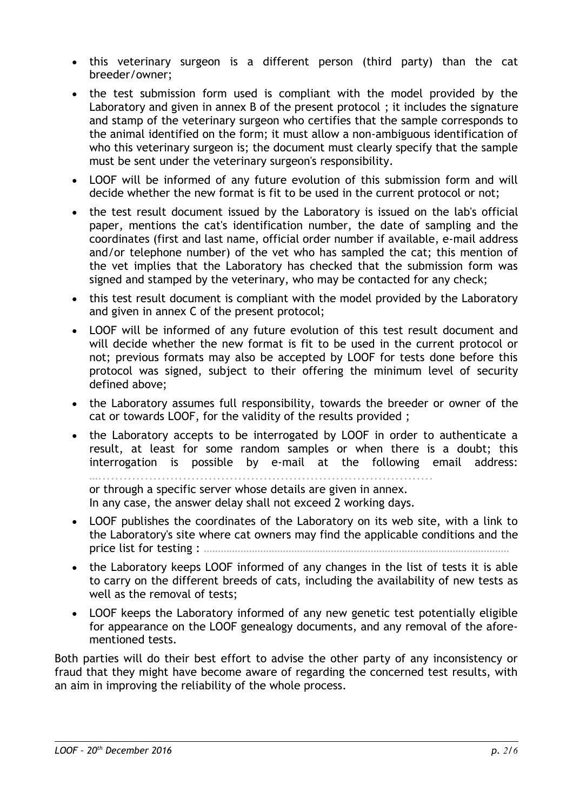- this veterinary surgeon is a different person (third party) than the cat breeder/owner;
- the test submission form used is compliant with the model provided by the Laboratory and given in annex B of the present protocol ; it includes the signature and stamp of the veterinary surgeon who certifies that the sample corresponds to the animal identified on the form; it must allow a non-ambiguous identification of who this veterinary surgeon is; the document must clearly specify that the sample must be sent under the veterinary surgeon's responsibility.
- LOOF will be informed of any future evolution of this submission form and will decide whether the new format is fit to be used in the current protocol or not;
- the test result document issued by the Laboratory is issued on the lab's official paper, mentions the cat's identification number, the date of sampling and the coordinates (first and last name, official order number if available, e-mail address and/or telephone number) of the vet who has sampled the cat; this mention of the vet implies that the Laboratory has checked that the submission form was signed and stamped by the veterinary, who may be contacted for any check;
- this test result document is compliant with the model provided by the Laboratory and given in annex C of the present protocol;
- LOOF will be informed of any future evolution of this test result document and will decide whether the new format is fit to be used in the current protocol or not; previous formats may also be accepted by LOOF for tests done before this protocol was signed, subject to their offering the minimum level of security defined above;
- the Laboratory assumes full responsibility, towards the breeder or owner of the cat or towards LOOF, for the validity of the results provided ;
- the Laboratory accepts to be interrogated by LOOF in order to authenticate a result, at least for some random samples or when there is a doubt; this interrogation is possible by e-mail at the following email address:

…............................................................................... or through a specific server whose details are given in annex. In any case, the answer delay shall not exceed 2 working days.

- LOOF publishes the coordinates of the Laboratory on its web site, with a link to the Laboratory's site where cat owners may find the applicable conditions and the price list for testing : ………………………………………………………………………………………………
- the Laboratory keeps LOOF informed of any changes in the list of tests it is able to carry on the different breeds of cats, including the availability of new tests as well as the removal of tests;
- LOOF keeps the Laboratory informed of any new genetic test potentially eligible for appearance on the LOOF genealogy documents, and any removal of the aforementioned tests.

Both parties will do their best effort to advise the other party of any inconsistency or fraud that they might have become aware of regarding the concerned test results, with an aim in improving the reliability of the whole process.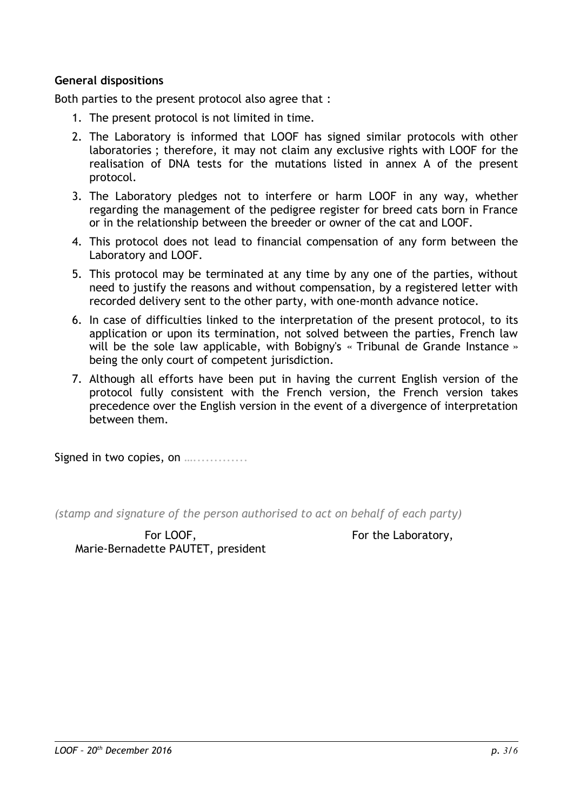#### **General dispositions**

Both parties to the present protocol also agree that :

- 1. The present protocol is not limited in time.
- 2. The Laboratory is informed that LOOF has signed similar protocols with other laboratories ; therefore, it may not claim any exclusive rights with LOOF for the realisation of DNA tests for the mutations listed in annex A of the present protocol.
- 3. The Laboratory pledges not to interfere or harm LOOF in any way, whether regarding the management of the pedigree register for breed cats born in France or in the relationship between the breeder or owner of the cat and LOOF.
- 4. This protocol does not lead to financial compensation of any form between the Laboratory and LOOF.
- 5. This protocol may be terminated at any time by any one of the parties, without need to justify the reasons and without compensation, by a registered letter with recorded delivery sent to the other party, with one-month advance notice.
- 6. In case of difficulties linked to the interpretation of the present protocol, to its application or upon its termination, not solved between the parties, French law will be the sole law applicable, with Bobigny's « Tribunal de Grande Instance » being the only court of competent jurisdiction.
- 7. Although all efforts have been put in having the current English version of the protocol fully consistent with the French version, the French version takes precedence over the English version in the event of a divergence of interpretation between them.

Signed in two copies, on ................

*(stamp and signature of the person authorised to act on behalf of each party)*

For LOOF, Marie-Bernadette PAUTET, president For the Laboratory,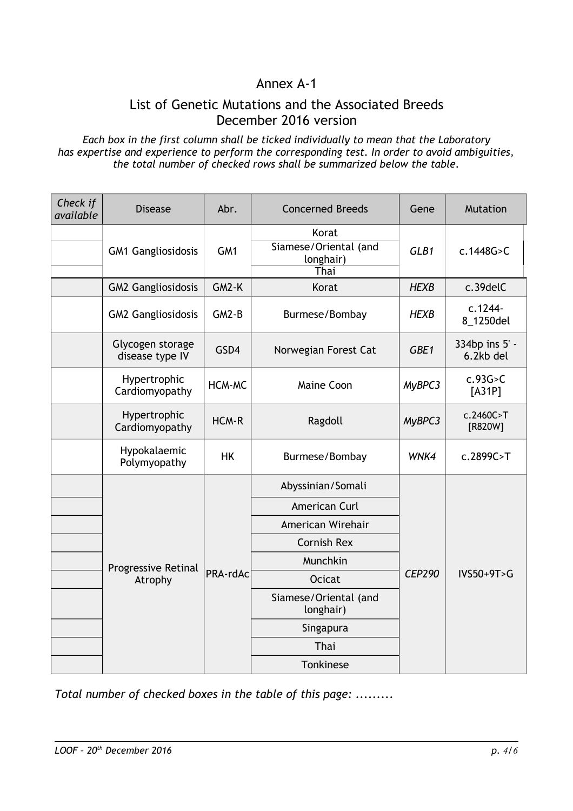# Annex A-1

### List of Genetic Mutations and the Associated Breeds December 2016 version

*Each box in the first column shall be ticked individually to mean that the Laboratory has expertise and experience to perform the corresponding test. In order to avoid ambiguities, the total number of checked rows shall be summarized below the table.*

| Check if<br>available | <b>Disease</b>                      | Abr.          | <b>Concerned Breeds</b>                             | Gene          | <b>Mutation</b>             |
|-----------------------|-------------------------------------|---------------|-----------------------------------------------------|---------------|-----------------------------|
|                       | <b>GM1 Gangliosidosis</b>           | GM1           | Korat<br>Siamese/Oriental (and<br>longhair)<br>Thai | GLB1          | c.1448G > C                 |
|                       | <b>GM2 Gangliosidosis</b>           | $GM2-K$       | Korat                                               | <b>HEXB</b>   | c.39delC                    |
|                       | <b>GM2 Gangliosidosis</b>           | $GM2-B$       | Burmese/Bombay                                      | <b>HEXB</b>   | c.1244-<br>8_1250del        |
|                       | Glycogen storage<br>disease type IV | GSD4          | Norwegian Forest Cat                                | GBE1          | 334bp ins 5' -<br>6.2kb del |
|                       | Hypertrophic<br>Cardiomyopathy      | <b>HCM-MC</b> | <b>Maine Coon</b>                                   | MyBPC3        | c.93G > C<br>$[A31P]$       |
|                       | Hypertrophic<br>Cardiomyopathy      | HCM-R         | Ragdoll                                             | MyBPC3        | c.2460C > T<br>[R820W]      |
|                       | Hypokalaemic<br>Polymyopathy        | <b>HK</b>     | Burmese/Bombay                                      | WNK4          | c.2899C>T                   |
|                       | Progressive Retinal<br>Atrophy      | PRA-rdAc      | Abyssinian/Somali                                   | <b>CEP290</b> | $IVS50+9T>G$                |
|                       |                                     |               | American Curl                                       |               |                             |
|                       |                                     |               | American Wirehair                                   |               |                             |
|                       |                                     |               | <b>Cornish Rex</b>                                  |               |                             |
|                       |                                     |               | Munchkin                                            |               |                             |
|                       |                                     |               | <b>Ocicat</b>                                       |               |                             |
|                       |                                     |               | Siamese/Oriental (and<br>longhair)                  |               |                             |
|                       |                                     |               | Singapura                                           |               |                             |
|                       |                                     |               | Thai                                                |               |                             |
|                       |                                     |               | Tonkinese                                           |               |                             |

*Total number of checked boxes in the table of this page: .........*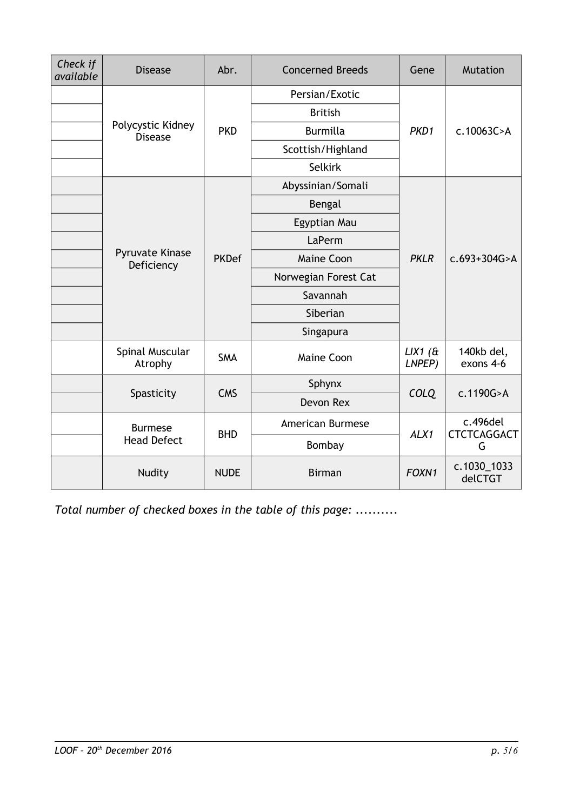| Check if<br>available | <b>Disease</b>                       | Abr.         | <b>Concerned Breeds</b> | Gene                    | <b>Mutation</b>                        |
|-----------------------|--------------------------------------|--------------|-------------------------|-------------------------|----------------------------------------|
|                       | Polycystic Kidney<br><b>Disease</b>  | <b>PKD</b>   | Persian/Exotic          | PKD1                    | c.10063C > A                           |
|                       |                                      |              | <b>British</b>          |                         |                                        |
|                       |                                      |              | <b>Burmilla</b>         |                         |                                        |
|                       |                                      |              | Scottish/Highland       |                         |                                        |
|                       |                                      |              | <b>Selkirk</b>          |                         |                                        |
|                       | <b>Pyruvate Kinase</b><br>Deficiency | <b>PKDef</b> | Abyssinian/Somali       | <b>PKLR</b>             | $c.693+304G > A$                       |
|                       |                                      |              | Bengal                  |                         |                                        |
|                       |                                      |              | Egyptian Mau            |                         |                                        |
|                       |                                      |              | LaPerm                  |                         |                                        |
|                       |                                      |              | <b>Maine Coon</b>       |                         |                                        |
|                       |                                      |              | Norwegian Forest Cat    |                         |                                        |
|                       |                                      |              | Savannah                |                         |                                        |
|                       |                                      |              | Siberian                |                         |                                        |
|                       |                                      |              | Singapura               |                         |                                        |
|                       | Spinal Muscular<br>Atrophy           | <b>SMA</b>   | Maine Coon              | $LIX1$ ( $\&$<br>LNPEP) | 140kb del,<br>exons 4-6                |
|                       | Spasticity                           | <b>CMS</b>   | Sphynx                  | <b>COLQ</b>             | c.1190G>A                              |
|                       |                                      |              | Devon Rex               |                         |                                        |
|                       | <b>Burmese</b><br><b>Head Defect</b> | <b>BHD</b>   | American Burmese        | ALX1                    | $c.496$ del<br><b>CTCTCAGGACT</b><br>G |
|                       |                                      |              | Bombay                  |                         |                                        |
|                       | Nudity                               | <b>NUDE</b>  | <b>Birman</b>           | FOXN1                   | c.1030_1033<br>delCTGT                 |

*Total number of checked boxes in the table of this page: ..........*